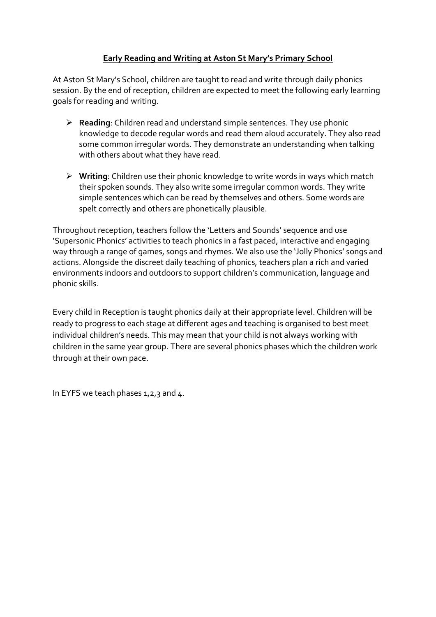# **Early Reading and Writing at Aston St Mary's Primary School**

At Aston St Mary's School, children are taught to read and write through daily phonics session. By the end of reception, children are expected to meet the following early learning goals for reading and writing.

- **Reading**: Children read and understand simple sentences. They use phonic knowledge to decode regular words and read them aloud accurately. They also read some common irregular words. They demonstrate an understanding when talking with others about what they have read.
- **Writing**: Children use their phonic knowledge to write words in ways which match their spoken sounds. They also write some irregular common words. They write simple sentences which can be read by themselves and others. Some words are spelt correctly and others are phonetically plausible.

Throughout reception, teachers follow the 'Letters and Sounds' sequence and use 'Supersonic Phonics' activities to teach phonics in a fast paced, interactive and engaging way through a range of games, songs and rhymes. We also use the 'Jolly Phonics' songs and actions. Alongside the discreet daily teaching of phonics, teachers plan a rich and varied environments indoors and outdoors to support children's communication, language and phonic skills.

Every child in Reception is taught phonics daily at their appropriate level. Children will be ready to progress to each stage at different ages and teaching is organised to best meet individual children's needs. This may mean that your child is not always working with children in the same year group. There are several phonics phases which the children work through at their own pace.

In EYFS we teach phases  $1, 2, 3$  and  $4$ .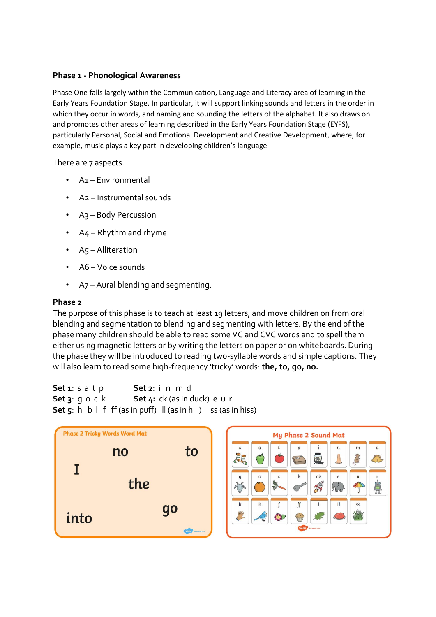### **Phase 1 - Phonological Awareness**

Phase One falls largely within the Communication, Language and Literacy area of learning in the Early Years Foundation Stage. In particular, it will support linking sounds and letters in the order in which they occur in words, and naming and sounding the letters of the alphabet. It also draws on and promotes other areas of learning described in the Early Years Foundation Stage (EYFS), particularly Personal, Social and Emotional Development and Creative Development, where, for example, music plays a key part in developing children's language

There are 7 aspects.

- A1 Environmental
- A2 Instrumental sounds
- A3 Body Percussion
- A4 Rhythm and rhyme
- A5 Alliteration
- A6 Voice sounds
- A<sub>7</sub> Aural blending and segmenting.

#### **Phase 2**

The purpose of this phase is to teach at least 19 letters, and move children on from oral blending and segmentation to blending and segmenting with letters. By the end of the phase many children should be able to read some VC and CVC words and to spell them either using magnetic letters or by writing the letters on paper or on whiteboards. During the phase they will be introduced to reading two-syllable words and simple captions. They will also learn to read some high-frequency 'tricky' words: **the, to, go, no.**

```
Set 1: s a t p Set 2: i n m d
Set 3: g o c k Set 4: ck (as in duck) e u r
Set 5: h \ b \ l \ f \ ff (as in puff) \ l \ (as \ in \ hill) \ ss (as in hiss)
```
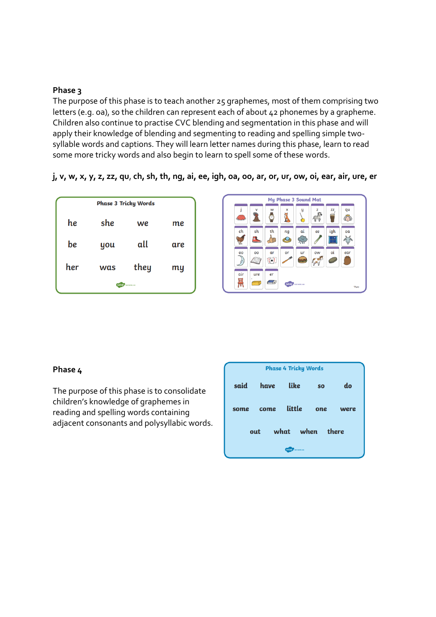### **Phase 3**

The purpose of this phase is to teach another 25 graphemes, most of them comprising two letters (e.g. oa), so the children can represent each of about 42 phonemes by a grapheme. Children also continue to practise CVC blending and segmentation in this phase and will apply their knowledge of blending and segmenting to reading and spelling simple twosyllable words and captions. They will learn letter names during this phase, learn to read some more tricky words and also begin to learn to spell some of these words.

**j, v, w, x, y, z, zz, qu**, **ch, sh, th, ng, ai, ee, igh, oa, oo, ar, or, ur, ow, oi, ear, air, ure, er**





#### **Phase 4**

The purpose of this phase is to consolidate children's knowledge of graphemes in reading and spelling words containing adjacent consonants and polysyllabic words.

| <b>Phase 4 Tricky Words</b> |      |              |           |              |
|-----------------------------|------|--------------|-----------|--------------|
| said                        | have | like         | <b>SO</b> | do           |
| some                        | come | little       | one       | were         |
|                             | out  | when<br>what |           | <b>there</b> |
| twinkl<br>visit twinkl.com  |      |              |           |              |